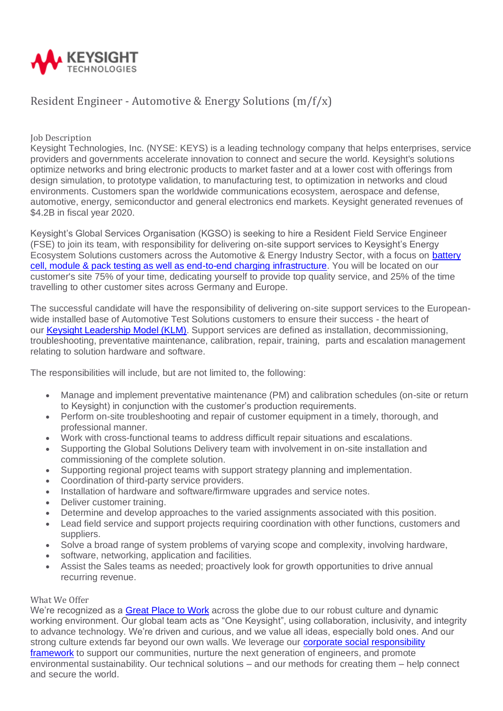

## Resident Engineer - Automotive & Energy Solutions (m/f/x)

**Job Description** 

Keysight Technologies, Inc. (NYSE: KEYS) is a leading technology company that helps enterprises, service providers and governments accelerate innovation to connect and secure the world. Keysight's solutions optimize networks and bring electronic products to market faster and at a lower cost with offerings from design simulation, to prototype validation, to manufacturing test, to optimization in networks and cloud environments. Customers span the worldwide communications ecosystem, aerospace and defense, automotive, energy, semiconductor and general electronics end markets. Keysight generated revenues of \$4.2B in fiscal year 2020.

Keysight's Global Services Organisation (KGSO) is seeking to hire a Resident Field Service Engineer (FSE) to join its team, with responsibility for delivering on-site support services to Keysight's Energy Ecosystem Solutions customers across the Automotive & Energy Industry Sector, with a focus on [battery](https://www.keysight.com/gb/en/products/hev-ev-grid-emulators-and-test-systems/scienlab-battery-test-systems.html)  [cell, module & pack testing as well as end-to-end charging infrastructure.](https://www.keysight.com/gb/en/products/hev-ev-grid-emulators-and-test-systems/scienlab-battery-test-systems.html) You will be located on our customer's site 75% of your time, dedicating yourself to provide top quality service, and 25% of the time travelling to other customer sites across Germany and Europe.

The successful candidate will have the responsibility of delivering on-site support services to the Europeanwide installed base of Automotive Test Solutions customers to ensure their success - the heart of our [Keysight Leadership Model \(KLM\).](https://www.keysight.com/gb/en/about/keysight-s-leadership-model.html) Support services are defined as installation, decommissioning, troubleshooting, preventative maintenance, calibration, repair, training, parts and escalation management relating to solution hardware and software.

The responsibilities will include, but are not limited to, the following:

- Manage and implement preventative maintenance (PM) and calibration schedules (on-site or return to Keysight) in conjunction with the customer's production requirements.
- Perform on-site troubleshooting and repair of customer equipment in a timely, thorough, and professional manner.
- Work with cross-functional teams to address difficult repair situations and escalations.
- Supporting the Global Solutions Delivery team with involvement in on-site installation and commissioning of the complete solution.
- Supporting regional project teams with support strategy planning and implementation.
- Coordination of third-party service providers.
- Installation of hardware and software/firmware upgrades and service notes.
- Deliver customer training.
- Determine and develop approaches to the varied assignments associated with this position.
- Lead field service and support projects requiring coordination with other functions, customers and suppliers.
- Solve a broad range of system problems of varying scope and complexity, involving hardware,
- software, networking, application and facilities.
- Assist the Sales teams as needed; proactively look for growth opportunities to drive annual recurring revenue.

## What We Offer

We're recognized as a [Great Place to Work](https://jobs.keysight.com/content/Employer-Awards/?locale=en_US) across the globe due to our robust culture and dynamic working environment. Our global team acts as "One Keysight", using collaboration, inclusivity, and integrity to advance technology. We're driven and curious, and we value all ideas, especially bold ones. And our strong culture extends far beyond our own walls. We leverage our [corporate social responsibility](https://www.keysight.com/gb/en/about/corporate-social-responsibility.html)  [framework](https://www.keysight.com/gb/en/about/corporate-social-responsibility.html) to support our communities, nurture the next generation of engineers, and promote environmental sustainability. Our technical solutions – and our methods for creating them – help connect and secure the world.